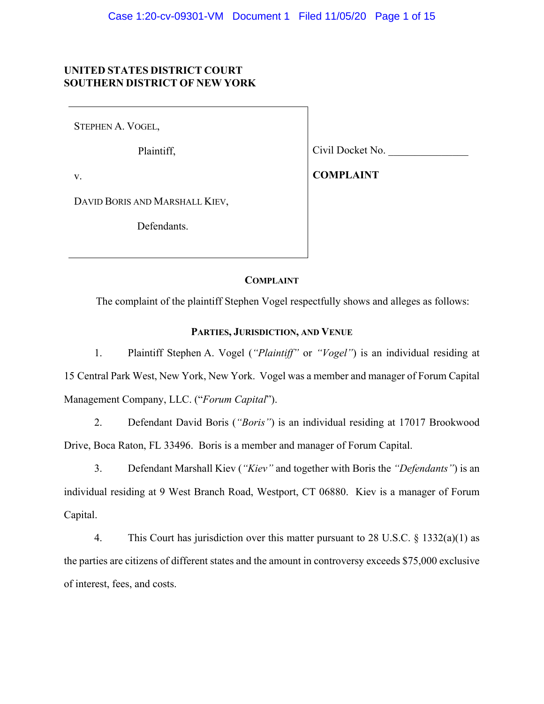# **UNITED STATES DISTRICT COURT SOUTHERN DISTRICT OF NEW YORK**

STEPHEN A. VOGEL,

Plaintiff,

v.

Civil Docket No. \_\_\_\_\_\_\_\_\_\_\_\_\_\_\_

**COMPLAINT**

DAVID BORIS AND MARSHALL KIEV,

Defendants.

## **COMPLAINT**

The complaint of the plaintiff Stephen Vogel respectfully shows and alleges as follows:

### **PARTIES, JURISDICTION, AND VENUE**

1. Plaintiff Stephen A. Vogel (*"Plaintiff"* or *"Vogel"*) is an individual residing at 15 Central Park West, New York, New York. Vogel was a member and manager of Forum Capital Management Company, LLC. ("*Forum Capital*").

2. Defendant David Boris (*"Boris"*) is an individual residing at 17017 Brookwood Drive, Boca Raton, FL 33496. Boris is a member and manager of Forum Capital.

3. Defendant Marshall Kiev (*"Kiev"* and together with Boris the *"Defendants"*) is an individual residing at 9 West Branch Road, Westport, CT 06880. Kiev is a manager of Forum Capital.

4. This Court has jurisdiction over this matter pursuant to 28 U.S.C. § 1332(a)(1) as the parties are citizens of different states and the amount in controversy exceeds \$75,000 exclusive of interest, fees, and costs.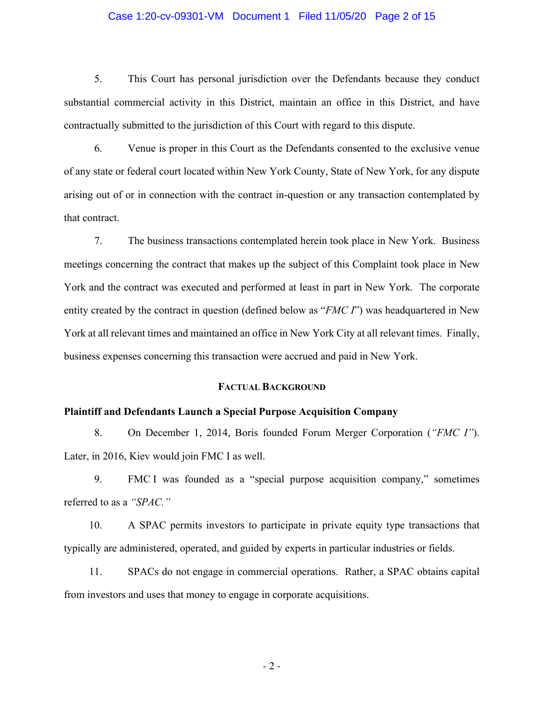## Case 1:20-cv-09301-VM Document 1 Filed 11/05/20 Page 2 of 15

5. This Court has personal jurisdiction over the Defendants because they conduct substantial commercial activity in this District, maintain an office in this District, and have contractually submitted to the jurisdiction of this Court with regard to this dispute.

6. Venue is proper in this Court as the Defendants consented to the exclusive venue of any state or federal court located within New York County, State of New York, for any dispute arising out of or in connection with the contract in-question or any transaction contemplated by that contract.

7. The business transactions contemplated herein took place in New York. Business meetings concerning the contract that makes up the subject of this Complaint took place in New York and the contract was executed and performed at least in part in New York. The corporate entity created by the contract in question (defined below as "*FMC I*") was headquartered in New York at all relevant times and maintained an office in New York City at all relevant times. Finally, business expenses concerning this transaction were accrued and paid in New York.

# **FACTUAL BACKGROUND**

## **Plaintiff and Defendants Launch a Special Purpose Acquisition Company**

8. On December 1, 2014, Boris founded Forum Merger Corporation (*"FMC I"*). Later, in 2016, Kiev would join FMC I as well.

9. FMC I was founded as a "special purpose acquisition company," sometimes referred to as a *"SPAC."*

10. A SPAC permits investors to participate in private equity type transactions that typically are administered, operated, and guided by experts in particular industries or fields.

11. SPACs do not engage in commercial operations. Rather, a SPAC obtains capital from investors and uses that money to engage in corporate acquisitions.

- 2 -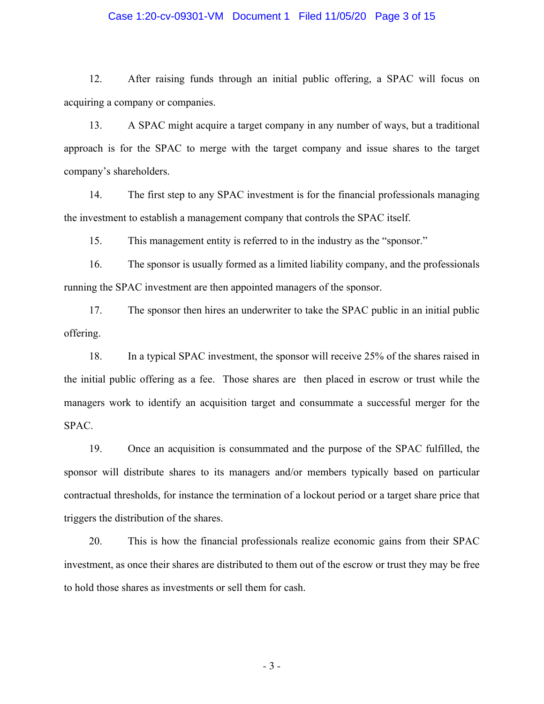## Case 1:20-cv-09301-VM Document 1 Filed 11/05/20 Page 3 of 15

12. After raising funds through an initial public offering, a SPAC will focus on acquiring a company or companies.

13. A SPAC might acquire a target company in any number of ways, but a traditional approach is for the SPAC to merge with the target company and issue shares to the target company's shareholders.

14. The first step to any SPAC investment is for the financial professionals managing the investment to establish a management company that controls the SPAC itself.

15. This management entity is referred to in the industry as the "sponsor."

16. The sponsor is usually formed as a limited liability company, and the professionals running the SPAC investment are then appointed managers of the sponsor.

17. The sponsor then hires an underwriter to take the SPAC public in an initial public offering.

18. In a typical SPAC investment, the sponsor will receive 25% of the shares raised in the initial public offering as a fee. Those shares are then placed in escrow or trust while the managers work to identify an acquisition target and consummate a successful merger for the SPAC.

19. Once an acquisition is consummated and the purpose of the SPAC fulfilled, the sponsor will distribute shares to its managers and/or members typically based on particular contractual thresholds, for instance the termination of a lockout period or a target share price that triggers the distribution of the shares.

20. This is how the financial professionals realize economic gains from their SPAC investment, as once their shares are distributed to them out of the escrow or trust they may be free to hold those shares as investments or sell them for cash.

- 3 -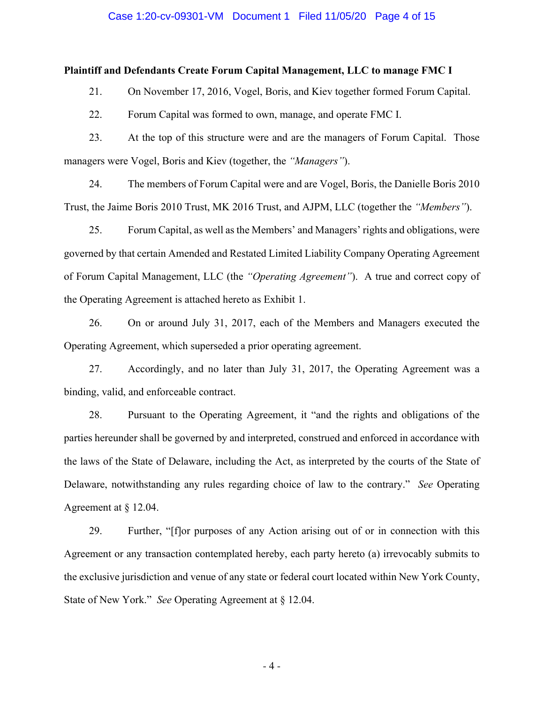#### Case 1:20-cv-09301-VM Document 1 Filed 11/05/20 Page 4 of 15

## **Plaintiff and Defendants Create Forum Capital Management, LLC to manage FMC I**

21. On November 17, 2016, Vogel, Boris, and Kiev together formed Forum Capital.

22. Forum Capital was formed to own, manage, and operate FMC I.

23. At the top of this structure were and are the managers of Forum Capital. Those managers were Vogel, Boris and Kiev (together, the *"Managers"*).

24. The members of Forum Capital were and are Vogel, Boris, the Danielle Boris 2010 Trust, the Jaime Boris 2010 Trust, MK 2016 Trust, and AJPM, LLC (together the *"Members"*).

25. Forum Capital, as well as the Members' and Managers' rights and obligations, were governed by that certain Amended and Restated Limited Liability Company Operating Agreement of Forum Capital Management, LLC (the *"Operating Agreement"*). A true and correct copy of the Operating Agreement is attached hereto as Exhibit 1.

26. On or around July 31, 2017, each of the Members and Managers executed the Operating Agreement, which superseded a prior operating agreement.

27. Accordingly, and no later than July 31, 2017, the Operating Agreement was a binding, valid, and enforceable contract.

28. Pursuant to the Operating Agreement, it "and the rights and obligations of the parties hereunder shall be governed by and interpreted, construed and enforced in accordance with the laws of the State of Delaware, including the Act, as interpreted by the courts of the State of Delaware, notwithstanding any rules regarding choice of law to the contrary." *See* Operating Agreement at § 12.04.

29. Further, "[f]or purposes of any Action arising out of or in connection with this Agreement or any transaction contemplated hereby, each party hereto (a) irrevocably submits to the exclusive jurisdiction and venue of any state or federal court located within New York County, State of New York." *See* Operating Agreement at § 12.04.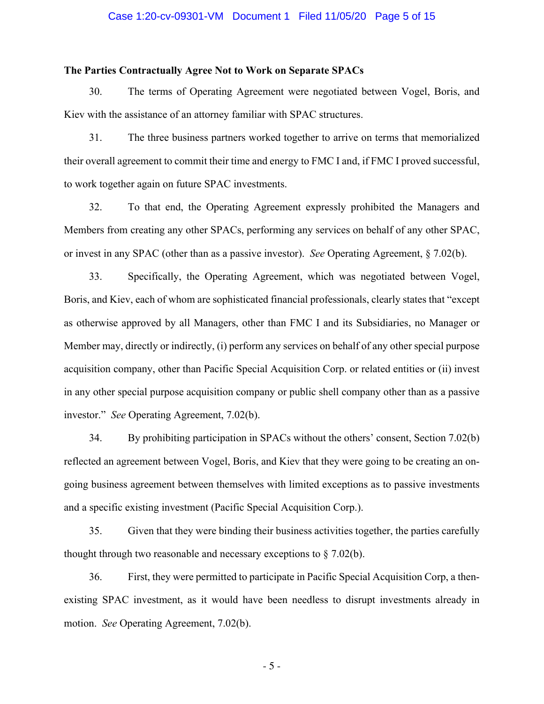### Case 1:20-cv-09301-VM Document 1 Filed 11/05/20 Page 5 of 15

### **The Parties Contractually Agree Not to Work on Separate SPACs**

30. The terms of Operating Agreement were negotiated between Vogel, Boris, and Kiev with the assistance of an attorney familiar with SPAC structures.

31. The three business partners worked together to arrive on terms that memorialized their overall agreement to commit their time and energy to FMC I and, if FMC I proved successful, to work together again on future SPAC investments.

32. To that end, the Operating Agreement expressly prohibited the Managers and Members from creating any other SPACs, performing any services on behalf of any other SPAC, or invest in any SPAC (other than as a passive investor). *See* Operating Agreement, § 7.02(b).

33. Specifically, the Operating Agreement, which was negotiated between Vogel, Boris, and Kiev, each of whom are sophisticated financial professionals, clearly states that "except as otherwise approved by all Managers, other than FMC I and its Subsidiaries, no Manager or Member may, directly or indirectly, (i) perform any services on behalf of any other special purpose acquisition company, other than Pacific Special Acquisition Corp. or related entities or (ii) invest in any other special purpose acquisition company or public shell company other than as a passive investor." *See* Operating Agreement, 7.02(b).

34. By prohibiting participation in SPACs without the others' consent, Section 7.02(b) reflected an agreement between Vogel, Boris, and Kiev that they were going to be creating an ongoing business agreement between themselves with limited exceptions as to passive investments and a specific existing investment (Pacific Special Acquisition Corp.).

35. Given that they were binding their business activities together, the parties carefully thought through two reasonable and necessary exceptions to  $\S 7.02(b)$ .

36. First, they were permitted to participate in Pacific Special Acquisition Corp, a thenexisting SPAC investment, as it would have been needless to disrupt investments already in motion. *See* Operating Agreement, 7.02(b).

- 5 -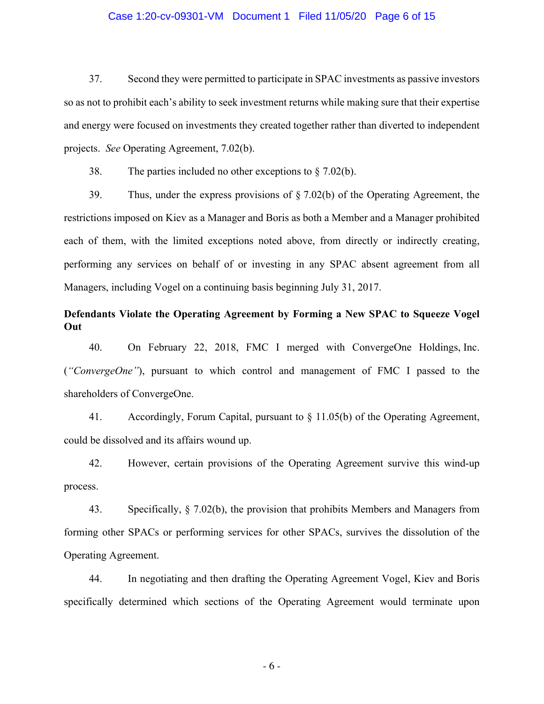## Case 1:20-cv-09301-VM Document 1 Filed 11/05/20 Page 6 of 15

37. Second they were permitted to participate in SPAC investments as passive investors so as not to prohibit each's ability to seek investment returns while making sure that their expertise and energy were focused on investments they created together rather than diverted to independent projects. *See* Operating Agreement, 7.02(b).

38. The parties included no other exceptions to  $\S$  7.02(b).

39. Thus, under the express provisions of  $\S 7.02(b)$  of the Operating Agreement, the restrictions imposed on Kiev as a Manager and Boris as both a Member and a Manager prohibited each of them, with the limited exceptions noted above, from directly or indirectly creating, performing any services on behalf of or investing in any SPAC absent agreement from all Managers, including Vogel on a continuing basis beginning July 31, 2017.

# **Defendants Violate the Operating Agreement by Forming a New SPAC to Squeeze Vogel Out**

40. On February 22, 2018, FMC I merged with ConvergeOne Holdings, Inc. (*"ConvergeOne"*), pursuant to which control and management of FMC I passed to the shareholders of ConvergeOne.

41. Accordingly, Forum Capital, pursuant to § 11.05(b) of the Operating Agreement, could be dissolved and its affairs wound up.

42. However, certain provisions of the Operating Agreement survive this wind-up process.

43. Specifically, § 7.02(b), the provision that prohibits Members and Managers from forming other SPACs or performing services for other SPACs, survives the dissolution of the Operating Agreement.

44. In negotiating and then drafting the Operating Agreement Vogel, Kiev and Boris specifically determined which sections of the Operating Agreement would terminate upon

- 6 -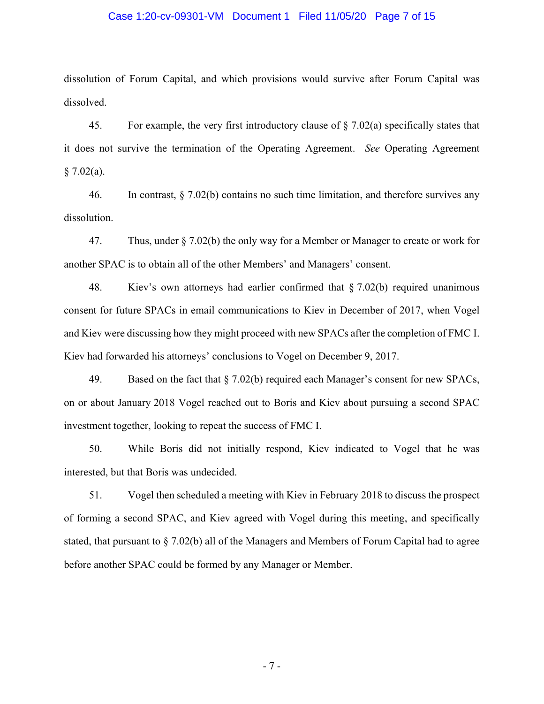### Case 1:20-cv-09301-VM Document 1 Filed 11/05/20 Page 7 of 15

dissolution of Forum Capital, and which provisions would survive after Forum Capital was dissolved.

45. For example, the very first introductory clause of  $\S$  7.02(a) specifically states that it does not survive the termination of the Operating Agreement. *See* Operating Agreement  $§ 7.02(a).$ 

46. In contrast, § 7.02(b) contains no such time limitation, and therefore survives any dissolution.

47. Thus, under § 7.02(b) the only way for a Member or Manager to create or work for another SPAC is to obtain all of the other Members' and Managers' consent.

48. Kiev's own attorneys had earlier confirmed that § 7.02(b) required unanimous consent for future SPACs in email communications to Kiev in December of 2017, when Vogel and Kiev were discussing how they might proceed with new SPACs after the completion of FMC I. Kiev had forwarded his attorneys' conclusions to Vogel on December 9, 2017.

49. Based on the fact that § 7.02(b) required each Manager's consent for new SPACs, on or about January 2018 Vogel reached out to Boris and Kiev about pursuing a second SPAC investment together, looking to repeat the success of FMC I.

50. While Boris did not initially respond, Kiev indicated to Vogel that he was interested, but that Boris was undecided.

51. Vogel then scheduled a meeting with Kiev in February 2018 to discuss the prospect of forming a second SPAC, and Kiev agreed with Vogel during this meeting, and specifically stated, that pursuant to  $\S$  7.02(b) all of the Managers and Members of Forum Capital had to agree before another SPAC could be formed by any Manager or Member.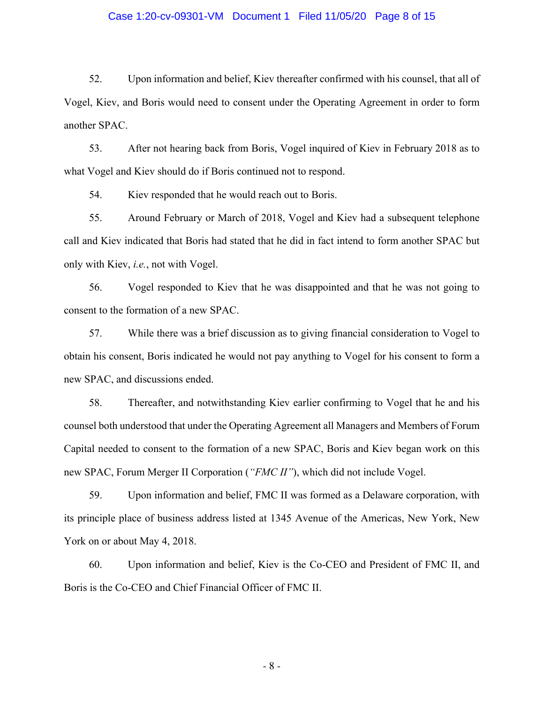## Case 1:20-cv-09301-VM Document 1 Filed 11/05/20 Page 8 of 15

52. Upon information and belief, Kiev thereafter confirmed with his counsel, that all of Vogel, Kiev, and Boris would need to consent under the Operating Agreement in order to form another SPAC.

53. After not hearing back from Boris, Vogel inquired of Kiev in February 2018 as to what Vogel and Kiev should do if Boris continued not to respond.

54. Kiev responded that he would reach out to Boris.

55. Around February or March of 2018, Vogel and Kiev had a subsequent telephone call and Kiev indicated that Boris had stated that he did in fact intend to form another SPAC but only with Kiev, *i.e.*, not with Vogel.

56. Vogel responded to Kiev that he was disappointed and that he was not going to consent to the formation of a new SPAC.

57. While there was a brief discussion as to giving financial consideration to Vogel to obtain his consent, Boris indicated he would not pay anything to Vogel for his consent to form a new SPAC, and discussions ended.

58. Thereafter, and notwithstanding Kiev earlier confirming to Vogel that he and his counsel both understood that under the Operating Agreement all Managers and Members of Forum Capital needed to consent to the formation of a new SPAC, Boris and Kiev began work on this new SPAC, Forum Merger II Corporation (*"FMC II"*), which did not include Vogel.

59. Upon information and belief, FMC II was formed as a Delaware corporation, with its principle place of business address listed at 1345 Avenue of the Americas, New York, New York on or about May 4, 2018.

60. Upon information and belief, Kiev is the Co-CEO and President of FMC II, and Boris is the Co-CEO and Chief Financial Officer of FMC II.

- 8 -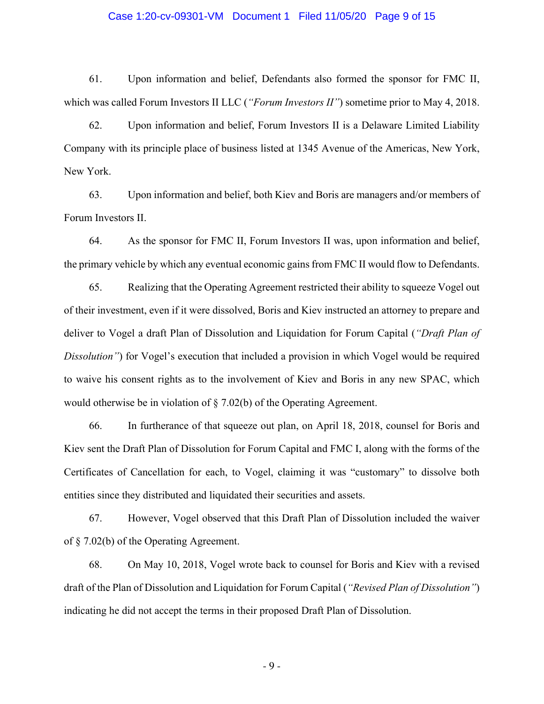### Case 1:20-cv-09301-VM Document 1 Filed 11/05/20 Page 9 of 15

61. Upon information and belief, Defendants also formed the sponsor for FMC II, which was called Forum Investors II LLC (*"Forum Investors II"*) sometime prior to May 4, 2018.

62. Upon information and belief, Forum Investors II is a Delaware Limited Liability Company with its principle place of business listed at 1345 Avenue of the Americas, New York, New York.

63. Upon information and belief, both Kiev and Boris are managers and/or members of Forum Investors II.

64. As the sponsor for FMC II, Forum Investors II was, upon information and belief, the primary vehicle by which any eventual economic gains from FMC II would flow to Defendants.

65. Realizing that the Operating Agreement restricted their ability to squeeze Vogel out of their investment, even if it were dissolved, Boris and Kiev instructed an attorney to prepare and deliver to Vogel a draft Plan of Dissolution and Liquidation for Forum Capital (*"Draft Plan of Dissolution"*) for Vogel's execution that included a provision in which Vogel would be required to waive his consent rights as to the involvement of Kiev and Boris in any new SPAC, which would otherwise be in violation of § 7.02(b) of the Operating Agreement.

66. In furtherance of that squeeze out plan, on April 18, 2018, counsel for Boris and Kiev sent the Draft Plan of Dissolution for Forum Capital and FMC I, along with the forms of the Certificates of Cancellation for each, to Vogel, claiming it was "customary" to dissolve both entities since they distributed and liquidated their securities and assets.

67. However, Vogel observed that this Draft Plan of Dissolution included the waiver of § 7.02(b) of the Operating Agreement.

68. On May 10, 2018, Vogel wrote back to counsel for Boris and Kiev with a revised draft of the Plan of Dissolution and Liquidation for Forum Capital (*"Revised Plan of Dissolution"*) indicating he did not accept the terms in their proposed Draft Plan of Dissolution.

- 9 -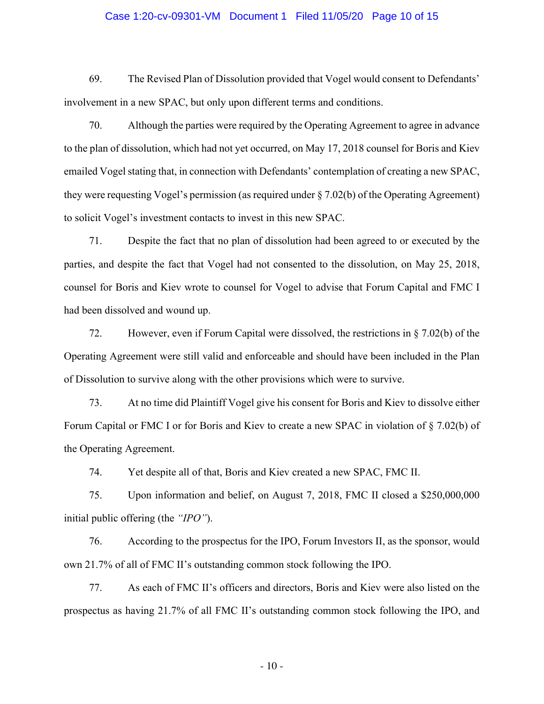## Case 1:20-cv-09301-VM Document 1 Filed 11/05/20 Page 10 of 15

69. The Revised Plan of Dissolution provided that Vogel would consent to Defendants' involvement in a new SPAC, but only upon different terms and conditions.

70. Although the parties were required by the Operating Agreement to agree in advance to the plan of dissolution, which had not yet occurred, on May 17, 2018 counsel for Boris and Kiev emailed Vogel stating that, in connection with Defendants' contemplation of creating a new SPAC, they were requesting Vogel's permission (as required under  $\S 7.02(b)$  of the Operating Agreement) to solicit Vogel's investment contacts to invest in this new SPAC.

71. Despite the fact that no plan of dissolution had been agreed to or executed by the parties, and despite the fact that Vogel had not consented to the dissolution, on May 25, 2018, counsel for Boris and Kiev wrote to counsel for Vogel to advise that Forum Capital and FMC I had been dissolved and wound up.

72. However, even if Forum Capital were dissolved, the restrictions in § 7.02(b) of the Operating Agreement were still valid and enforceable and should have been included in the Plan of Dissolution to survive along with the other provisions which were to survive.

73. At no time did Plaintiff Vogel give his consent for Boris and Kiev to dissolve either Forum Capital or FMC I or for Boris and Kiev to create a new SPAC in violation of § 7.02(b) of the Operating Agreement.

74. Yet despite all of that, Boris and Kiev created a new SPAC, FMC II.

75. Upon information and belief, on August 7, 2018, FMC II closed a \$250,000,000 initial public offering (the *"IPO"*).

76. According to the prospectus for the IPO, Forum Investors II, as the sponsor, would own 21.7% of all of FMC II's outstanding common stock following the IPO.

77. As each of FMC II's officers and directors, Boris and Kiev were also listed on the prospectus as having 21.7% of all FMC II's outstanding common stock following the IPO, and

- 10 -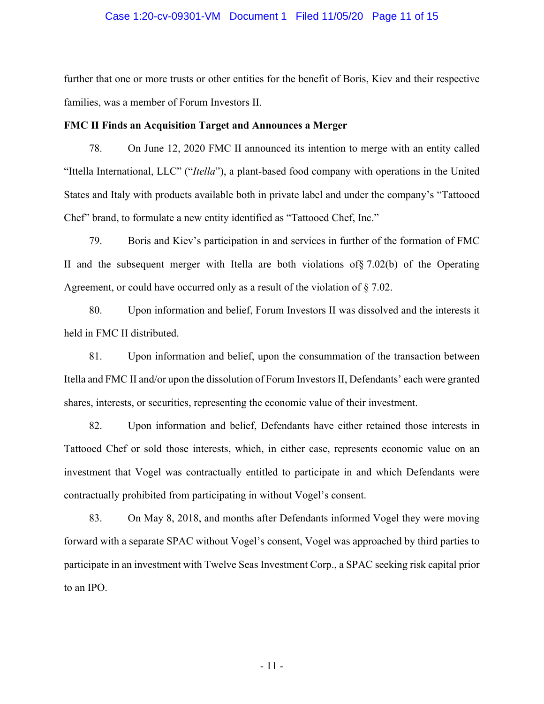## Case 1:20-cv-09301-VM Document 1 Filed 11/05/20 Page 11 of 15

further that one or more trusts or other entities for the benefit of Boris, Kiev and their respective families, was a member of Forum Investors II.

### **FMC II Finds an Acquisition Target and Announces a Merger**

78. On June 12, 2020 FMC II announced its intention to merge with an entity called "Ittella International, LLC" ("*Itella*"), a plant-based food company with operations in the United States and Italy with products available both in private label and under the company's "Tattooed Chef" brand, to formulate a new entity identified as "Tattooed Chef, Inc."

79. Boris and Kiev's participation in and services in further of the formation of FMC II and the subsequent merger with Itella are both violations of§ 7.02(b) of the Operating Agreement, or could have occurred only as a result of the violation of § 7.02.

80. Upon information and belief, Forum Investors II was dissolved and the interests it held in FMC II distributed.

81. Upon information and belief, upon the consummation of the transaction between Itella and FMC II and/or upon the dissolution of Forum Investors II, Defendants' each were granted shares, interests, or securities, representing the economic value of their investment.

82. Upon information and belief, Defendants have either retained those interests in Tattooed Chef or sold those interests, which, in either case, represents economic value on an investment that Vogel was contractually entitled to participate in and which Defendants were contractually prohibited from participating in without Vogel's consent.

83. On May 8, 2018, and months after Defendants informed Vogel they were moving forward with a separate SPAC without Vogel's consent, Vogel was approached by third parties to participate in an investment with Twelve Seas Investment Corp., a SPAC seeking risk capital prior to an IPO.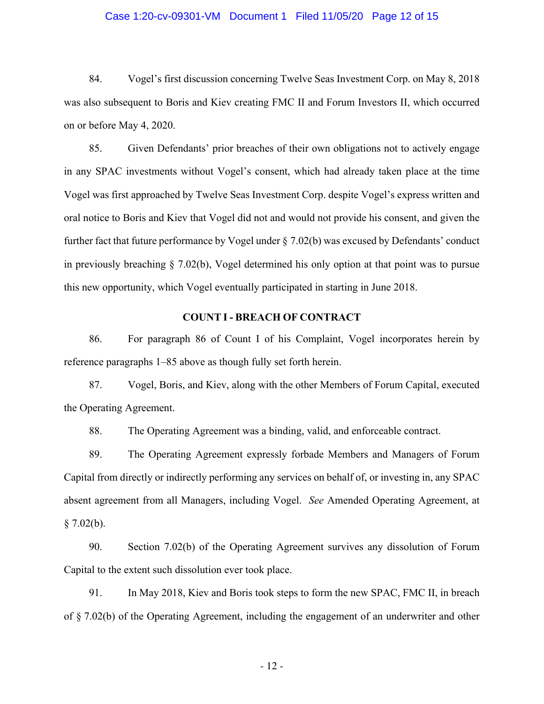## Case 1:20-cv-09301-VM Document 1 Filed 11/05/20 Page 12 of 15

84. Vogel's first discussion concerning Twelve Seas Investment Corp. on May 8, 2018 was also subsequent to Boris and Kiev creating FMC II and Forum Investors II, which occurred on or before May 4, 2020.

85. Given Defendants' prior breaches of their own obligations not to actively engage in any SPAC investments without Vogel's consent, which had already taken place at the time Vogel was first approached by Twelve Seas Investment Corp. despite Vogel's express written and oral notice to Boris and Kiev that Vogel did not and would not provide his consent, and given the further fact that future performance by Vogel under § 7.02(b) was excused by Defendants' conduct in previously breaching § 7.02(b), Vogel determined his only option at that point was to pursue this new opportunity, which Vogel eventually participated in starting in June 2018.

# **COUNT I - BREACH OF CONTRACT**

86. For paragraph 86 of Count I of his Complaint, Vogel incorporates herein by reference paragraphs 1–85 above as though fully set forth herein.

87. Vogel, Boris, and Kiev, along with the other Members of Forum Capital, executed the Operating Agreement.

88. The Operating Agreement was a binding, valid, and enforceable contract.

89. The Operating Agreement expressly forbade Members and Managers of Forum Capital from directly or indirectly performing any services on behalf of, or investing in, any SPAC absent agreement from all Managers, including Vogel. *See* Amended Operating Agreement, at  $§ 7.02(b).$ 

90. Section 7.02(b) of the Operating Agreement survives any dissolution of Forum Capital to the extent such dissolution ever took place.

91. In May 2018, Kiev and Boris took steps to form the new SPAC, FMC II, in breach of § 7.02(b) of the Operating Agreement, including the engagement of an underwriter and other

- 12 -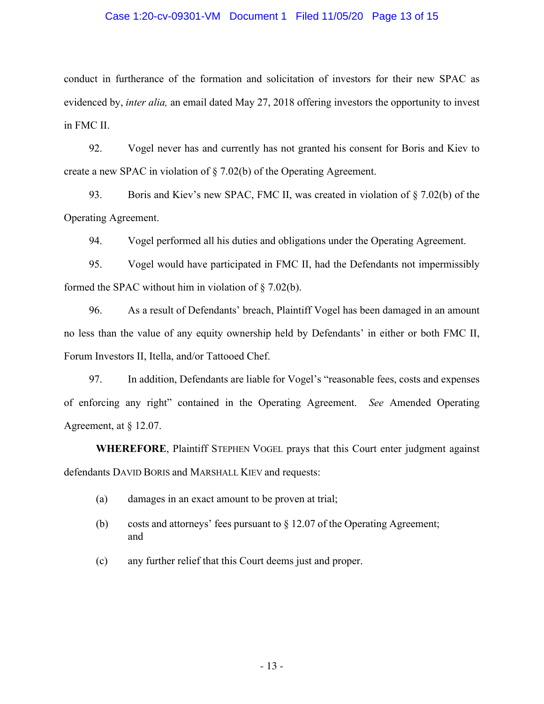## Case 1:20-cv-09301-VM Document 1 Filed 11/05/20 Page 13 of 15

conduct in furtherance of the formation and solicitation of investors for their new SPAC as evidenced by, *inter alia,* an email dated May 27, 2018 offering investors the opportunity to invest in FMC II.

92. Vogel never has and currently has not granted his consent for Boris and Kiev to create a new SPAC in violation of § 7.02(b) of the Operating Agreement.

93. Boris and Kiev's new SPAC, FMC II, was created in violation of § 7.02(b) of the Operating Agreement.

94. Vogel performed all his duties and obligations under the Operating Agreement.

95. Vogel would have participated in FMC II, had the Defendants not impermissibly formed the SPAC without him in violation of § 7.02(b).

96. As a result of Defendants' breach, Plaintiff Vogel has been damaged in an amount no less than the value of any equity ownership held by Defendants' in either or both FMC II, Forum Investors II, Itella, and/or Tattooed Chef.

97. In addition, Defendants are liable for Vogel's "reasonable fees, costs and expenses of enforcing any right" contained in the Operating Agreement. *See* Amended Operating Agreement, at  $\S$  12.07.

**WHEREFORE**, Plaintiff STEPHEN VOGEL prays that this Court enter judgment against defendants DAVID BORIS and MARSHALL KIEV and requests:

- (a) damages in an exact amount to be proven at trial;
- (b) costs and attorneys' fees pursuant to § 12.07 of the Operating Agreement; and
- (c) any further relief that this Court deems just and proper.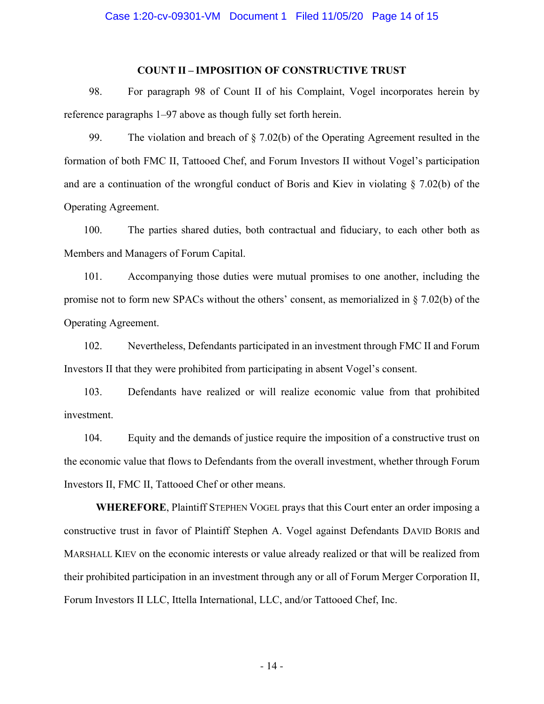# **COUNT II – IMPOSITION OF CONSTRUCTIVE TRUST**

98. For paragraph 98 of Count II of his Complaint, Vogel incorporates herein by reference paragraphs 1–97 above as though fully set forth herein.

99. The violation and breach of § 7.02(b) of the Operating Agreement resulted in the formation of both FMC II, Tattooed Chef, and Forum Investors II without Vogel's participation and are a continuation of the wrongful conduct of Boris and Kiev in violating § 7.02(b) of the Operating Agreement.

100. The parties shared duties, both contractual and fiduciary, to each other both as Members and Managers of Forum Capital.

101. Accompanying those duties were mutual promises to one another, including the promise not to form new SPACs without the others' consent, as memorialized in § 7.02(b) of the Operating Agreement.

102. Nevertheless, Defendants participated in an investment through FMC II and Forum Investors II that they were prohibited from participating in absent Vogel's consent.

103. Defendants have realized or will realize economic value from that prohibited investment.

104. Equity and the demands of justice require the imposition of a constructive trust on the economic value that flows to Defendants from the overall investment, whether through Forum Investors II, FMC II, Tattooed Chef or other means.

**WHEREFORE**, Plaintiff STEPHEN VOGEL prays that this Court enter an order imposing a constructive trust in favor of Plaintiff Stephen A. Vogel against Defendants DAVID BORIS and MARSHALL KIEV on the economic interests or value already realized or that will be realized from their prohibited participation in an investment through any or all of Forum Merger Corporation II, Forum Investors II LLC, Ittella International, LLC, and/or Tattooed Chef, Inc.